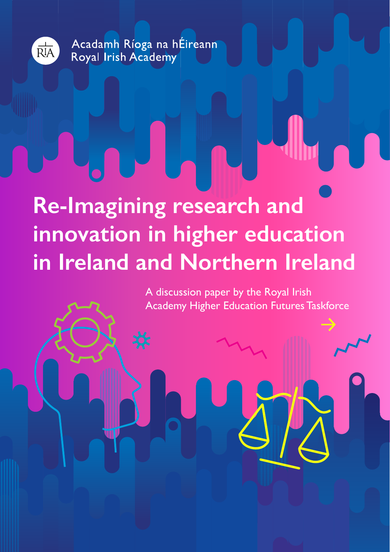

Acadamh Ríoga na hÉireann Royal Irish Academy

# **Re-Imagining research and innovation in higher education in Ireland and Northern Ireland**

A discussion paper by the Royal Irish Academy Higher Education Futures Taskforce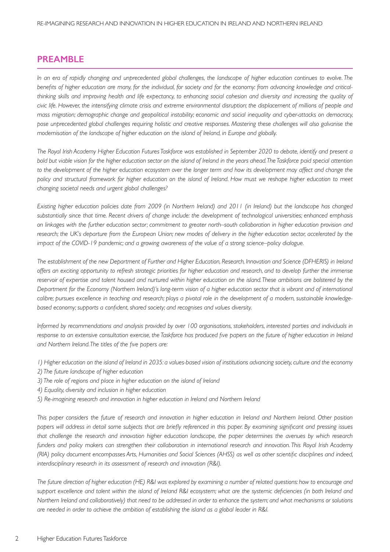## **PREAMBLE**

*In an era of rapidly changing and unprecedented global challenges, the landscape of higher education continues to evolve. The benefits of higher education are many, for the individual, for society and for the economy: from advancing knowledge and criticalthinking skills and improving health and life expectancy, to enhancing social cohesion and diversity and increasing the quality of civic life. However, the intensifying climate crisis and extreme environmental disruption; the displacement of millions of people and mass migration; demographic change and geopolitical instability; economic and social inequality and cyber-attacks on democracy, pose unprecedented global challenges requiring holistic and creative responses. Mastering these challenges will also galvanise the modernisation of the landscape of higher education on the island of Ireland, in Europe and globally.* 

*The Royal Irish Academy Higher Education Futures Taskforce was established in September 2020 to debate, identify and present a bold but viable vision for the higher education sector on the island of Ireland in the years ahead. The Taskforce paid special attention*  to the development of the higher education ecosystem over the longer term and how its development may affect and change the *policy and structural framework for higher education on the island of Ireland. How must we reshape higher education to meet changing societal needs and urgent global challenges?*

*Existing higher education policies date from 2009 (in Northern Ireland) and 2011 (in Ireland) but the landscape has changed substantially since that time. Recent drivers of change include: the development of technological universities; enhanced emphasis on linkages with the further education sector; commitment to greater north–south collaboration in higher education provision and research; the UK's departure from the European Union; new modes of delivery in the higher education sector, accelerated by the impact of the COVID-19 pandemic; and a growing awareness of the value of a strong science–policy dialogue.* 

*The establishment of the new Department of Further and Higher Education, Research, Innovation and Science (DFHERIS) in Ireland offers an exciting opportunity to refresh strategic priorities for higher education and research, and to develop further the immense reservoir of expertise and talent housed and nurtured within higher education on the island. These ambitions are bolstered by the Department for the Economy (Northern Ireland)'s long-term vision of a higher education sector that is vibrant and of international calibre; pursues excellence in teaching and research; plays a pivotal role in the development of a modern, sustainable knowledgebased economy; supports a confident, shared society; and recognises and values diversity.* 

*Informed by recommendations and analysis provided by over 100 organisations, stakeholders, interested parties and individuals in response to an extensive consultation exercise, the Taskforce has produced five papers on the future of higher education in Ireland and Northern Ireland. The titles of the five papers are:*

- *1) Higher education on the island of Ireland in 2035: a values-based vision of institutions advancing society, culture and the economy*
- *2) The future landscape of higher education*
- *3) The role of regions and place in higher education on the island of Ireland*
- *4) Equality, diversity and inclusion in higher education*
- *5) Re-imagining research and innovation in higher education in Ireland and Northern Ireland*

*This paper considers the future of research and innovation in higher education in Ireland and Northern Ireland. Other position papers will address in detail some subjects that are briefly referenced in this paper. By examining significant and pressing issues that challenge the research and innovation higher education landscape, the paper determines the avenues by which research funders and policy makers can strengthen their collaboration in international research and innovation. This Royal Irish Academy (RIA) policy document encompasses Arts, Humanities and Social Sciences (AHSS) as well as other scientific disciplines and indeed, interdisciplinary research in its assessment of research and innovation (R&I).* 

*The future direction of higher education (HE) R&I was explored by examining a number of related questions: how to encourage and support excellence and talent within the island of Ireland R&I ecosystem; what are the systemic deficiencies (in both Ireland and Northern Ireland and collaboratively) that need to be addressed in order to enhance the system; and what mechanisms or solutions are needed in order to achieve the ambition of establishing the island as a global leader in R&I.*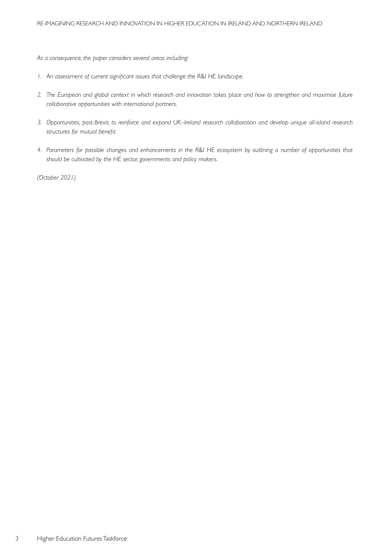*As a consequence, the paper considers several areas including:*

- *1. An assessment of current significant issues that challenge the R&I HE landscape.*
- *2. The European and global context in which research and innovation takes place and how to strengthen and maximise future collaborative opportunities with international partners.*
- *3. Opportunities, post-Brexit, to reinforce and expand UK–Ireland research collaboration and develop unique all-island research structures for mutual benefit.*
- *4. Parameters for possible changes and enhancements in the R&I HE ecosystem by outlining a number of opportunities that should be cultivated by the HE sector, governments and policy makers.*

*(October 2021)*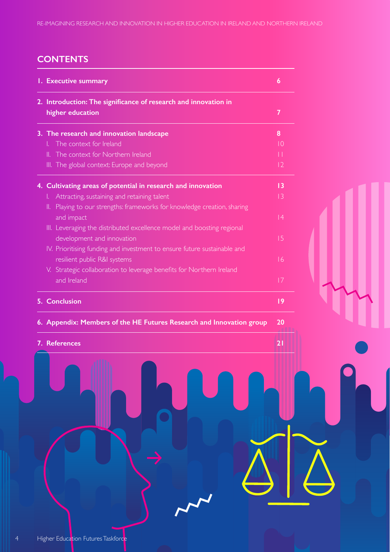## **CONTENTS**

| 1. Executive summary |                                                                            | $\boldsymbol{6}$ |  |
|----------------------|----------------------------------------------------------------------------|------------------|--|
|                      | 2. Introduction: The significance of research and innovation in            |                  |  |
|                      | higher education                                                           | 7                |  |
|                      | 3. The research and innovation landscape                                   | 8                |  |
|                      | The context for Ireland<br>L.                                              | $\overline{10}$  |  |
|                      | The context for Northern Ireland<br>Ш.                                     | П                |  |
|                      | III. The global context: Europe and beyond                                 | 2                |  |
|                      | 4. Cultivating areas of potential in research and innovation               | $\overline{13}$  |  |
|                      | Attracting, sustaining and retaining talent<br>L.                          | $\overline{13}$  |  |
|                      | Playing to our strengths: frameworks for knowledge creation, sharing<br>Ш. |                  |  |
|                      | and impact                                                                 | 4                |  |
|                      | III. Leveraging the distributed excellence model and boosting regional     |                  |  |
|                      | development and innovation                                                 | 15               |  |
|                      | IV. Prioritising funding and investment to ensure future sustainable and   |                  |  |
|                      | resilient public R&I systems                                               | 16               |  |
|                      | V. Strategic collaboration to leverage benefits for Northern Ireland       |                  |  |
|                      | and Ireland                                                                | 7                |  |
|                      |                                                                            |                  |  |
|                      | <b>5. Conclusion</b>                                                       | 9                |  |
|                      | 6. Appendix: Members of the HE Futures Research and Innovation group       | 20               |  |

**7.** References **19. In the case of the case of the case of the case of the case of the case of the case of the case of the case of the case of the case of the case of the case of the case of the case of the case of the ca**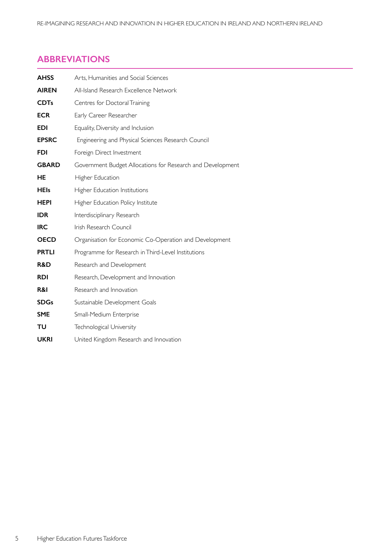## **ABBREVIATIONS**

| <b>AHSS</b>  | Arts, Humanities and Social Sciences                       |
|--------------|------------------------------------------------------------|
| <b>AIREN</b> | All-Island Research Excellence Network                     |
| <b>CDTs</b>  | Centres for Doctoral Training                              |
| <b>ECR</b>   | Early Career Researcher                                    |
| <b>EDI</b>   | Equality, Diversity and Inclusion                          |
| <b>EPSRC</b> | Engineering and Physical Sciences Research Council         |
| <b>FDI</b>   | Foreign Direct Investment                                  |
| <b>GBARD</b> | Government Budget Allocations for Research and Development |
| HE           | Higher Education                                           |
| <b>HEIs</b>  | Higher Education Institutions                              |
| HEPI         | Higher Education Policy Institute                          |
| <b>IDR</b>   | Interdisciplinary Research                                 |
| <b>IRC</b>   | Irish Research Council                                     |
| <b>OECD</b>  | Organisation for Economic Co-Operation and Development     |
| <b>PRTLI</b> | Programme for Research in Third-Level Institutions         |
| R&D          | Research and Development                                   |
| <b>RDI</b>   | Research, Development and Innovation                       |
| R&I          | Research and Innovation                                    |
| <b>SDGs</b>  | Sustainable Development Goals                              |
| <b>SME</b>   | Small-Medium Enterprise                                    |
| TU           | Technological University                                   |
| <b>UKRI</b>  | United Kingdom Research and Innovation                     |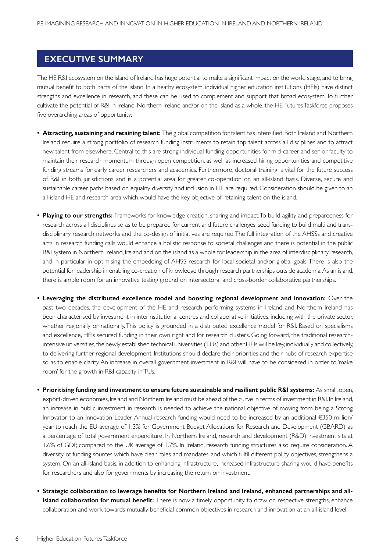## **EXECUTIVE SUMMARY**

The HE R&I ecosystem on the island of Ireland has huge potential to make a significant impact on the world stage, and to bring mutual benefit to both parts of the island. In a heathy ecosystem, individual higher education institutions (HEIs) have distinct strengths and excellence in research, and these can be used to complement and support that broad ecosystem. To further cultivate the potential of R&I in Ireland, Northern Ireland and/or on the island as a whole, the HE Futures Taskforce proposes five overarching areas of opportunity:

- **Attracting, sustaining and retaining talent:** The global competition for talent has intensified. Both Ireland and Northern Ireland require a strong portfolio of research funding instruments to retain top talent across all disciplines and to attract new talent from elsewhere. Central to this are strong individual funding opportunities for mid-career and senior faculty to maintain their research momentum through open competition, as well as increased hiring opportunities and competitive funding streams for early career researchers and academics. Furthermore, doctoral training is vital for the future success of R&I in both jurisdictions and is a potential area for greater co-operation on an all-island basis. Diverse, secure and sustainable career paths based on equality, diversity and inclusion in HE are required. Consideration should be given to an all-island HE and research area which would have the key objective of retaining talent on the island.
- **Playing to our strengths:** Frameworks for knowledge creation, sharing and impact. To build agility and preparedness for research across all disciplines so as to be prepared for current and future challenges, seed funding to build multi and transdisciplinary research networks and the co-design of initiatives are required. The full integration of the AHSSs and creative arts in research funding calls would enhance a holistic response to societal challenges and there is potential in the public R&I system in Northern Ireland, Ireland and on the island as a whole for leadership in the area of interdisciplinary research, and in particular in optimising the embedding of AHSS research for local societal and/or global goals. There is also the potential for leadership in enabling co-creation of knowledge through research partnerships outside academia. As an island, there is ample room for an innovative testing ground on intersectoral and cross-border collaborative partnerships.
- **• Leveraging the distributed excellence model and boosting regional development and innovation:** Over the past two decades, the development of the HE and research performing systems in Ireland and Northern Ireland has been characterised by investment in interinstitutional centres and collaborative initiatives, including with the private sector, whether regionally or nationally. This policy is grounded in a distributed excellence model for R&I. Based on specialisms and excellence, HEIs secured funding in their own right and for research clusters. Going forward, the traditional researchintensive universities, the newly established technical universities (TUs) and other HEIs will be key, individually and collectively, to delivering further regional development. Institutions should declare their priorities and their hubs of research expertise so as to enable clarity. An increase in overall government investment in R&I will have to be considered in order to 'make room' for the growth in R&I capacity in TUs.
- **• Prioritising funding and investment to ensure future sustainable and resilient public R&I systems:** As small, open, export-driven economies, Ireland and Northern Ireland must be ahead of the curve in terms of investment in R&I. In Ireland, an increase in public investment in research is needed to achieve the national objective of moving from being a Strong Innovator to an Innovation Leader. Annual research funding would need to be increased by an additional €350 million/ year to reach the EU average of 1.3% for Government Budget Allocations for Research and Development (GBARD) as a percentage of total government expenditure. In Nor thern Ireland, research and development (R&D) investment sits at 1.6% of GDP, compared to the UK average of 1.7%. In Ireland, research funding structures also require consideration. A diversity of funding sources which have clear roles and mandates, and which fulfil different policy objectives, strengthens a system. On an all-island basis, in addition to enhancing infrastructure, increased infrastructure sharing would have benefits for researchers and also for governments by increasing the return on investment.
- **• Strategic collaboration to leverage benefits for Northern Ireland and Ireland, enhanced partnerships and allisland collaboration for mutual benefit:** There is now a timely opportunity to draw on respective strengths, enhance collaboration and work towards mutually beneficial common objectives in research and innovation at an all-island level.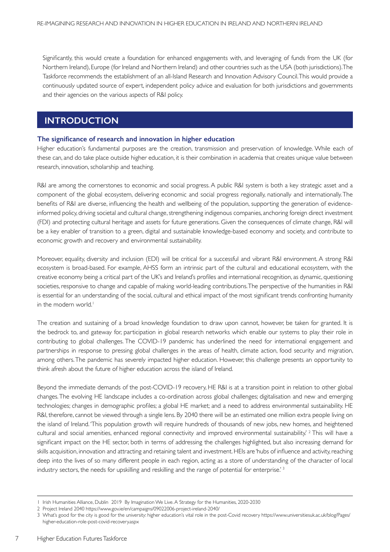Significantly, this would create a foundation for enhanced engagements with, and leveraging of funds from the UK (for Nor thern Ireland), Europe (for Ireland and Nor thern Ireland) and other countries such as the USA (both jurisdictions).The Taskforce recommends the establishment of an all-Island Research and Innovation Advisory Council. This would provide a continuously updated source of expert, independent policy advice and evaluation for both jurisdictions and governments and their agencies on the various aspects of R&I policy.

## **INTRODUCTION**

#### **The significance of research and innovation in higher education**

Higher education's fundamental purposes are the creation, transmission and preservation of knowledge. While each of these can, and do take place outside higher education, it is their combination in academia that creates unique value between research, innovation, scholarship and teaching.

R&I are among the cornerstones to economic and social progress. A public R&I system is both a key strategic asset and a component of the global ecosystem, delivering economic and social progress regionally, nationally and internationally. The benefits of R&I are diverse, influencing the health and wellbeing of the population, supporting the generation of evidenceinformed policy, driving societal and cultural change, strengthening indigenous companies, anchoring foreign direct investment (FDI) and protecting cultural heritage and assets for future generations. Given the consequences of climate change, R&I will be a key enabler of transition to a green, digital and sustainable knowledge-based economy and society, and contribute to economic growth and recovery and environmental sustainability.

Moreover, equality, diversity and inclusion (EDI) will be critical for a successful and vibrant R&I environment. A strong R&I ecosystem is broad-based. For example, AHSS form an intrinsic part of the cultural and educational ecosystem, with the creative economy being a critical part of the UK's and Ireland's profiles and international recognition, as dynamic, questioning societies, responsive to change and capable of making world-leading contributions. The perspective of the humanities in R&I is essential for an understanding of the social, cultural and ethical impact of the most significant trends confronting humanity in the modern world.<sup>1</sup>

The creation and sustaining of a broad knowledge foundation to draw upon cannot, however, be taken for granted. It is the bedrock to, and gateway for, participation in global research networks which enable our systems to play their role in contributing to global challenges. The COVID-19 pandemic has underlined the need for international engagement and partnerships in response to pressing global challenges in the areas of health, climate action, food security and migration, among others. The pandemic has severely impacted higher education. However, this challenge presents an opportunity to think afresh about the future of higher education across the island of Ireland.

Beyond the immediate demands of the post-COVID-19 recovery, HE R&I is at a transition point in relation to other global changes. The evolving HE landscape includes a co-ordination across global challenges; digitalisation and new and emerging technologies; changes in demographic profiles; a global HE market; and a need to address environmental sustainability. HE R&I, therefore, cannot be viewed through a single lens. By 2040 there will be an estimated one million extra people living on the island of Ireland. 'This population growth will require hundreds of thousands of new jobs, new homes, and heightened cultural and social amenities, enhanced regional connectivity and improved environmental sustainability.<sup>' 2</sup> This will have a significant impact on the HE sector, both in terms of addressing the challenges highlighted, but also increasing demand for skills acquisition, innovation and attracting and retaining talent and investment. HEIs are 'hubs of influence and activity,reaching deep into the lives of so many different people in each region, acting as a store of understanding of the character of local industry sectors, the needs for upskilling and reskilling and the range of potential for enterprise.<sup>'3</sup>

7

<sup>1</sup> Irish Humanities Alliance, Dublin 2019 By Imagination We Live. A Strategy for the Humanities, 2020-2030

<sup>2</sup> Project Ireland 2040 https://www.gov.ie/en/campaigns/09022006-project-ireland-2040/

<sup>3</sup> What's good for the city is good for the university: higher education's vital role in the post-Covid recovery https://www.universitiesuk.ac.uk/blog/Pages/ higher-education-role-post-covid-recovery.aspx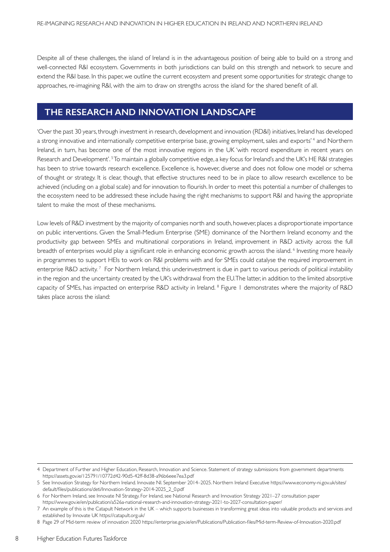Despite all of these challenges, the island of Ireland is in the advantageous position of being able to build on a strong and well-connected R&I ecosystem. Governments in both jurisdictions can build on this strength and network to secure and extend the R&I base. In this paper, we outline the current ecosystem and present some opportunities for strategic change to approaches, re-imagining R&I, with the aim to draw on strengths across the island for the shared benefit of all.

## **THE RESEARCH AND INNOVATION LANDSCAPE**

'Over the past 30 years, through investment in research, development and innovation (RD&I) initiatives, Ireland has developed a strong innovative and internationally competitive enterprise base, growing employment, sales and exports' <sup>4</sup> and Northern Ireland, in turn, has become one of the most innovative regions in the UK 'with record expenditure in recent years on Research and Development'. <sup>5</sup> To maintain a globally competitive edge, a key focus for Ireland's and the UK's HE R&I strategies has been to strive towards research excellence. Excellence is, however, diverse and does not follow one model or schema of thought or strategy. It is clear, though, that effective structures need to be in place to allow research excellence to be achieved (including on a global scale) and for innovation to flourish. In order to meet this potential a number of challenges to the ecosystem need to be addressed: these include having the right mechanisms to support R&I and having the appropriate talent to make the most of these mechanisms.

Low levels of R&D investment by the majority of companies north and south, however, places a disproportionate importance on public interventions. Given the Small-Medium Enterprise (SME) dominance of the Nor thern Ireland economy and the productivity gap between SMEs and multinational corporations in Ireland, improvement in R&D activity across the full breadth of enterprises would play a significant role in enhancing economic growth across the island. <sup>6</sup> Investing more heavily in programmes to support HEIs to work on R&I problems with and for SMEs could catalyse the required improvement in enterprise R&D activity.<sup>7</sup> For Northern Ireland, this underinvestment is due in part to various periods of political instability in the region and the uncertainty created by the UK's withdrawal from the EU. The latter, in addition to the limited absorptive capacity of SMEs, has impacted on enterprise R&D activity in Ireland. 8 Figure 1 demonstrates where the majority of R&D takes place across the island:

8

<sup>4</sup> Department of Further and Higher Education, Research, Innovation and Science. Statement of strategy submissions from government departments https://assets.gov.ie/125791/10772d42-90d5-42ff-8d38-a96b6eee7ea3.pdf

<sup>5</sup> See Innovation Strategy for Northern Ireland. Innovate NI. September 2014–2025. Northern Ireland Executive https://www.economy-ni.gov.uk/sites/ default/files/publications/deti/Innovation-Strategy-2014-2025\_2\_0.pdf

<sup>6</sup> For Northern Ireland, see Innovate NI Strategy. For Ireland, see National Research and Innovation Strategy 2021–27 consultation paper https://www.gov.ie/en/publication/a526a-national-research-and-innovation-strategy-2021-to-2027-consultation-paper/

<sup>7</sup> An example of this is the Catapult Network in the UK – which supports businesses in transforming great ideas into valuable products and services and established by Innovate UK https://catapult.org.uk/

<sup>8</sup> Page 29 of Mid-term review of innovation 2020 https://enterprise.gov.ie/en/Publications/Publication-files/Mid-term-Review-of-Innovation-2020.pdf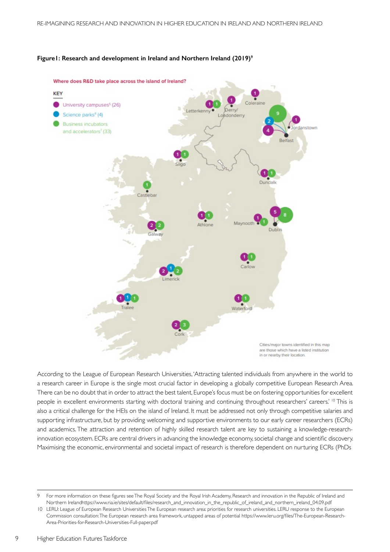



According to the League of European Research Universities, 'Attracting talented individuals from anywhere in the world to a research career in Europe is the single most crucial factor in developing a globally competitive European Research Area. There can be no doubt that in order to attract the best talent, Europe's focus must be on fostering opportunities for excellent people in excellent environments starting with doctoral training and continuing throughout researchers' careers.' 10 This is also a critical challenge for the HEIs on the island of Ireland. It must be addressed not only through competitive salaries and supporting infrastructure, but by providing welcoming and supportive environments to our early career researchers (ECRs) and academics. The attraction and retention of highly skilled research talent are key to sustaining a knowledge-researchinnovation ecosystem. ECRs are central drivers in advancing the knowledge economy,societal change and scientific discovery. Maximising the economic, environmental and societal impact of research is therefore dependent on nurturing ECRs (PhDs

<sup>9</sup> For more information on these figures see The Royal Society and the Royal Irish Academy, Research and innovation in the Republic of Ireland and Northern Irelandhttps://www.ria.ie/sites/default/files/research\_and\_innovation\_in\_the\_republic\_of\_ireland\_and\_northern\_ireland\_04.09.pdf

<sup>10</sup> LERU: League of European Research Universities The European research area: priorities for research universities. LERU response to the European Commission consultation:The European research area framework, untapped areas of potential https://www.leru.org/files/The-European-Research-Area-Priorities-for-Research-Universities-Full-paper.pdf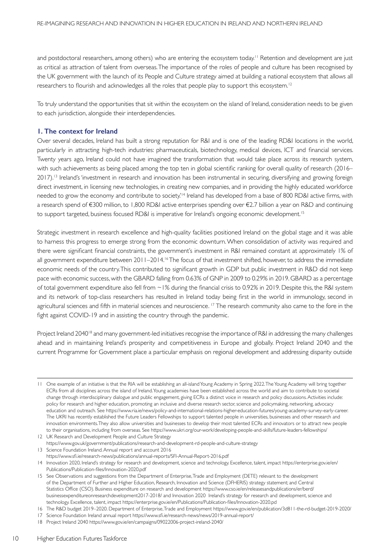and postdoctoral researchers, among others) who are entering the ecosystem today.<sup>11</sup> Retention and development are just as critical as attraction of talent from overseas. The importance of the roles of people and culture has been recognised by the UK government with the launch of its People and Culture strategy aimed at building a national ecosystem that allows all researchers to flourish and acknowledges all the roles that people play to support this ecosystem.<sup>12</sup>

To truly understand the opportunities that sit within the ecosystem on the island of Ireland, consideration needs to be given to each jurisdiction, alongside their interdependencies.

#### **1. The context for Ireland**

Over several decades, Ireland has built a strong reputation for R&I and is one of the leading RD&I locations in the world, particularly in attracting high-tech industries: pharmaceuticals, biotechnology, medical devices, ICT and financial services. Twenty years ago, Ireland could not have imagined the transformation that would take place across its research system, with such achievements as being placed among the top ten in global scientific ranking for overall quality of research (2016– 2017).<sup>13</sup> Ireland's 'investment in research and innovation has been instrumental in securing, diversifying and growing foreign direct investment, in licensing new technologies, in creating new companies, and in providing the highly educated workforce needed to grow the economy and contribute to society.<sup>14</sup> Ireland has developed from a base of 800 RD&I active firms, with a research spend of €300 million, to 1,800 RD&I active enterprises spending over €2.7 billion a year on R&D and continuing to support targeted, business focused RD&I is imperative for Ireland's ongoing economic development.<sup>15</sup>

Strategic investment in research excellence and high-quality facilities positioned Ireland on the global stage and it was able to harness this progress to emerge strong from the economic downturn. When consolidation of activity was required and there were significant financial constraints, the government's investment in R&I remained constant at approximately 1% of all government expenditure between 2011-2014.<sup>16</sup> The focus of that investment shifted, however, to address the immediate economic needs of the country.This contributed to significant growth in GDP but public investment in R&D did not keep pace with economic success, with the GBARD falling from 0.63% of GNP in 2009 to 0.29% in 2019. GBARD as a percentage of total government expenditure also fell from ~1% during the financial crisis to 0.92% in 2019. Despite this, the R&I system and its network of top-class researchers has resulted in Ireland today being first in the world in immunology, second in agricultural sciences and fifth in material sciences and neuroscience.<sup>17</sup> The research community also came to the fore in the fight against COVID-19 and in assisting the country through the pandemic.

Project Ireland 2040<sup>18</sup> and many government-led initiatives recognise the importance of R&I in addressing the many challenges ahead and in maintaining Ireland's prosperity and competitiveness in Europe and globally. Project Ireland 2040 and the current Programme for Government place a particular emphasis on regional development and addressing disparity outside

<sup>11</sup> One example of an initiative is that the RIA will be establishing an all-island Young Academy in Spring 2022. The Young Academy will bring together ECRs from all disciplines across the island of Ireland. Young academies have been established across the world and aim to contribute to societal change through interdisciplinary dialogue and public engagement, giving ECRs a distinct voice in research and policy discussions. Activities include: policy for research and higher education, promoting an inclusive and diverse research sector, science and policymaking, networking, advocacy education and outreach. See https://www.ria.ie/news/policy-and-international-relations-higher-education-futures/young-academy-survey-early-career. The UKRI has recently established the Future Leaders Fellowships to support talented people in universities, businesses and other research and innovation environments. They also allow universities and businesses to develop their most talented ECRs and innovators or to attract new people to their organisations, including from overseas. See https://www.ukri.org/our-work/developing-people-and-skills/future-leaders-fellowships/ 12 UK Research and Development People and Culture Strategy

https://www.gov.uk/government/publications/research-and-development-rd-people-and-culture-strategy 13 Science Foundation Ireland. Annual report and account 2016

https://www.sfi.ie/research-news/publications/annual-reports/SFI-Annual-Report-2016.pdf

<sup>14</sup> Innovation 2020, Ireland's strategy for research and development, science and technology. Excellence, talent, impact https://enterprise.gov.ie/en/ Publications/Publication-files/Innovation-2020.pdf

<sup>15</sup> See Observations and suggestions from the Department of Enterprise, Trade and Employment (DETE) relevant to the development of the Department of Further and Higher Education, Research, Innovation and Science (DFHERIS) strategy statement; and Central Statistics Office (CSO). Business expenditure on research and development https://www.cso.ie/en/releasesandpublications/er/berd/ businessexpenditureonresearchdevelopment2017-2018/ and Innovation 2020 Ireland's strategy for research and development, science and technology. Excellence, talent, impact https://enterprise.gov.ie/en/Publications/Publication-files/Innovation-2020.pd

<sup>16</sup> The R&D budget 2019–2020. Department of Enterprise, Trade and Employment https://www.gov.ie/en/publication/3d811-the-rd-budget-2019-2020/

<sup>17</sup> Science Foundation Ireland annual report https://www.sfi.ie/research-news/news/2019-annual-report/

<sup>18</sup> Project Ireland 2040 https://www.gov.ie/en/campaigns/09022006-project-ireland-2040/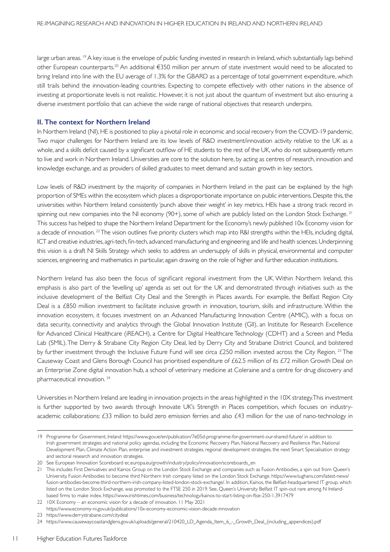large urban areas. <sup>19</sup> A key issue is the envelope of public funding invested in research in Ireland, which substantially lags behind other European counterparts.20 An additional €350 million per annum of state investment would need to be allocated to bring Ireland into line with the EU average of 1.3% for the GBARD as a percentage of total government expenditure, which still trails behind the innovation-leading countries. Expecting to compete effectively with other nations in the absence of investing at proportionate levels is not realistic. However, it is not just about the quantum of investment but also ensuring a diverse investment portfolio that can achieve the wide range of national objectives that research underpins.

#### **II. The context for Northern Ireland**

In Northern Ireland (NI), HE is positioned to play a pivotal role in economic and social recovery from the COVID-19 pandemic. Two major challenges for Northern Ireland are its low levels of R&D investment/innovation activity relative to the UK as a whole, and a skills deficit caused by a significant outflow of HE students to the rest of the UK, who do not subsequently return to live and work in Northern Ireland. Universities are core to the solution here, by acting as centres of research, innovation and knowledge exchange, and as providers of skilled graduates to meet demand and sustain growth in key sectors.

Low levels of R&D investment by the majority of companies in Northern Ireland in the past can be explained by the high proportion of SMEs within the ecosystem which places a disproportionate importance on public interventions. Despite this, the universities within Northern Ireland consistently 'punch above their weight' in key metrics. HEIs have a strong track record in spinning out new companies into the NI economy (90+), some of which are publicly listed on the London Stock Exchange. <sup>21</sup> This success has helped to shape the Northern Ireland Department for the Economy's newly published 10x Economy vision for a decade of innovation. <sup>22</sup>The vision outlines five priority clusters which map into R&I strengths within the HEIs, including digital, ICT and creative industries, agri-tech, fin-tech, advanced manufacturing and engineering and life and health sciences.Underpinning this vision is a draft NI Skills Strategy which seeks to address an undersupply of skills in physical, environmental and computer sciences, engineering and mathematics in particular, again drawing on the role of higher and further education institutions.

Northern Ireland has also been the focus of significant regional investment from the UK. Within Northern Ireland, this emphasis is also part of the 'levelling up' agenda as set out for the UK and demonstrated through initiatives such as the inclusive development of the Belfast City Deal and the Strength in Places awards. For example, the Belfast Region City Deal is a £850 million investment to facilitate inclusive growth in innovation, tourism, skills and infrastructure. Within the innovation ecosystem, it focuses investment on an Advanced Manufacturing Innovation Centre (AMIC), with a focus on data security, connectivity and analytics through the Global Innovation Institute (GII), an Institute for Research Excellence for Advanced Clinical Healthcare (iREACH), a Centre for Digital Healthcare Technology (CDHT) and a Screen and Media Lab (SMIL).The Derry & Strabane City Region City Deal, led by Derry City and Strabane District Council, and bolstered by further investment through the Inclusive Future Fund will see circa £250 million invested across the City Region.<sup>23</sup> The Causeway Coast and Glens Borough Council has prioritised expenditure of £62.5 million of its £72 million Growth Deal on an Enterprise Zone digital innovation hub, a school of veterinary medicine at Coleraine and a centre for drug discovery and pharmaceutical innovation. 24

Universities in Northern Ireland are leading in innovation projects in the areas highlighted in the 10X strategy. This investment is further supported by two awards through Innovate UK's Strength in Places competition, which focuses on industryacademic collaborations: £33 million to build zero emission ferries and also £43 million for the use of nano-technology in

<sup>19</sup> Programme for Government, Ireland https://www.gov.ie/en/publication/7e05d-programme-for-government-our-shared-future/ in addition to Irish government strategies and national policy agendas, including the Economic Recovery Plan, National Recovery and Resilience Plan, National Development Plan, Climate Action Plan, enterprise and investment strategies, regional development strategies, the next Smart Specialisation strategy and sectoral research and innovation strategies.

<sup>20</sup> See European Innovation Scoreboard ec.europa.eu/growth/industry/policy/innovation/scoreboards\_en

<sup>21</sup> This includes First Derivatives and Kainos Group on the London Stock Exchange and companies such as Fusion Antibodies, a spin out from Queen's University, Fusion Antibodies to become third Northern Irish company listed on the London Stock Exchange. https://www.tughans.com/latest-news/ fusion-antibodies-become-third-northern-irish-company-listed-london-stock-exchange/. In addition, Kainos, the Belfast-headquartered IT group, which listed on the London Stock Exchange, was promoted to the FTSE 250 in 2019. See, Queen's University Belfast IT spin-out rare among N Irelandbased firms to make index. https://www.irishtimes.com/business/technology/kainos-to-start-listing-on-ftse-250-1.3917479

<sup>22</sup> 10X Economy – an economic vision for a decade of innovation. 11 May 2021

https://www.economy-ni.gov.uk/publications/10x-economy-economic-vision-decade-innovation

<sup>23</sup> https://www.derrystrabane.com/citydeal

<sup>24</sup> https://www.causewaycoastandglens.gov.uk/uploads/general/210420\_LD\_Agenda\_Item\_6\_-\_Growth\_Deal\_(including\_appendices).pdf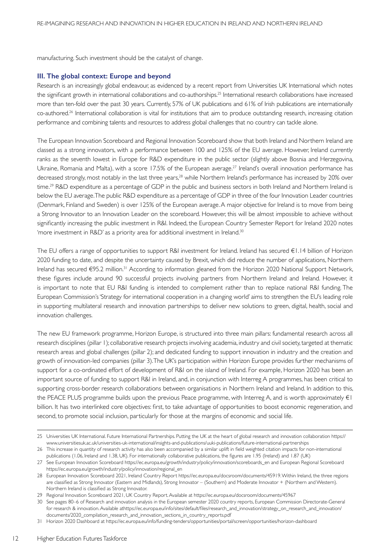manufacturing. Such investment should be the catalyst of change.

#### **III. The global context: Europe and beyond**

Research is an increasingly global endeavour, as evidenced by a recent report from Universities UK International which notes the significant growth in international collaborations and co-authorships.25 International research collaborations have increased more than ten-fold over the past 30 years. Currently, 57% of UK publications and 61% of Irish publications are internationally co-authored.26 International collaboration is vital for institutions that aim to produce outstanding research, increasing citation performance and combining talents and resources to address global challenges that no country can tackle alone.

The European Innovation Scoreboard and Regional Innovation Scoreboard show that both Ireland and Northern Ireland are classed as a strong innovators, with a performance between 100 and 125% of the EU average. However, Ireland currently ranks as the seventh lowest in Europe for R&D expenditure in the public sector (slightly above Bosnia and Herzegovina, Ukraine, Romania and Malta), with a score 17.5% of the European average.<sup>27</sup> Ireland's overall innovation performance has decreased strongly, most notably in the last three years,<sup>28</sup> while Northern Ireland's performance has increased by 20% over time.<sup>29</sup> R&D expenditure as a percentage of GDP in the public and business sectors in both Ireland and Northern Ireland is below the EU average. The public R&D expenditure as a percentage of GDP in three of the four Innovation Leader countries (Denmark, Finland and Sweden) is over 125% of the European average.A major objective for Ireland is to move from being a Strong Innovator to an Innovation Leader on the scoreboard. However, this will be almost impossible to achieve without significantly increasing the public investment in R&I. Indeed, the European Country Semester Report for Ireland 2020 notes 'more investment in R&D' as a priority area for additional investment in Ireland.30

The EU offers a range of opportunities to support R&I investment for Ireland. Ireland has secured €1.14 billion of Horizon 2020 funding to date, and despite the uncertainty caused by Brexit, which did reduce the number of applications, Northern Ireland has secured €95.2 million.31 According to information gleaned from the Horizon 2020 National Support Network, these figures include around 90 successful projects involving partners from Northern Ireland and Ireland. However, it is important to note that EU R&I funding is intended to complement rather than to replace national R&I funding. The European Commission's 'Strategy for international cooperation in a changing world' aims to strengthen the EU's leading role in supporting multilateral research and innovation partnerships to deliver new solutions to green, digital, health, social and innovation challenges.

The new EU framework programme, Horizon Europe, is structured into three main pillars: fundamental research across all research disciplines (pillar 1); collaborative research projects involving academia, industry and civil society, targeted at thematic research areas and global challenges (pillar 2); and dedicated funding to support innovation in industry and the creation and growth of innovation-led companies (pillar 3). The UK's participation within Horizon Europe provides further mechanisms of support for a co-ordinated effort of development of R&I on the island of Ireland. For example, Horizon 2020 has been an important source of funding to support R&I in Ireland, and, in conjunction with Interreg A programmes, has been critical to supporting cross-border research collaborations between organisations in Northern Ireland and Ireland. In addition to this, the PEACE PLUS programme builds upon the previous Peace programme, with Interreg A, and is worth approximately €1 billion. It has two interlinked core objectives: first, to take advantage of opportunities to boost economic regeneration, and second, to promote social inclusion, particularly for those at the margins of economic and social life.

<sup>25</sup> Universities UK International. Future International Partnerships. Putting the UK at the heart of global research and innovation collaboration https:// www.universitiesuk.ac.uk/universities-uk-international/insights-and-publications/uuki-publications/future-international-partnerships

<sup>26</sup> This increase in quantity of research activity has also been accompanied by a similar uplift in field weighted citation impacts for non-international publications (1.06, Ireland and 1.38, UK). For internationally collaborative publications, the figures are 1.95 (Ireland) and 1.87 (UK)

<sup>27</sup> See European Innovation Scoreboard https://ec.europa.eu/growth/industry/policy/innovation/scoreboards\_en and European Regional Scoreboard https://ec.europa.eu/growth/industry/policy/innovation/regional\_en

<sup>28</sup> European Innovation Scoreboard 2021, Ireland Country Report https://ec.europa.eu/docsroom/documents/45919. Within Ireland, the three regions are classified as Strong Innovator (Eastern and Midlands), Strong Innovator – (Southern) and Moderate Innovator + (Nor thern and Western). Northern Ireland is classified as Strong Innovator.

<sup>29</sup> Regional Innovation Scoreboard 2021, UK Country Report. Available at https://ec.europa.eu/docsroom/documents/45967

<sup>30</sup> See pages 80–6 of Research and innovation analysis in the European semester 2020 country reports, European Commission Directorate-General for research & innovation.Available athttps://ec.europa.eu/info/sites/default/files/research\_and\_innovation/strategy\_on\_research\_and\_innovation/ documents/2020\_compilation\_research\_and\_innovation\_sections\_in\_country\_repor ts.pdf

<sup>31</sup> Horizon 2020 Dashboard at https://ec.europa.eu/info/funding-tenders/opportunities/portal/screen/opportunities/horizon-dashboard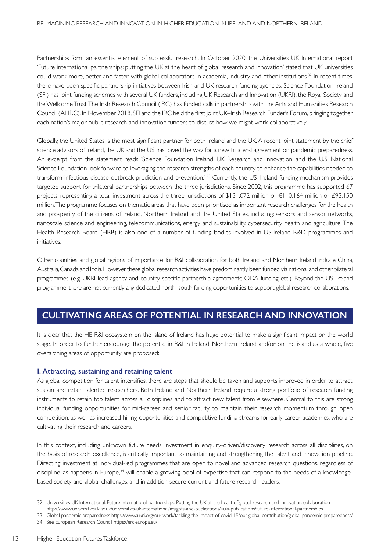Partnerships form an essential element of successful research. In October 2020, the Universities UK International report 'Future international partnerships: putting the UK at the heart of global research and innovation' stated that UK universities could work 'more, better and faster' with global collaborators in academia, industry and other institutions.<sup>32</sup> In recent times, there have been specific partnership initiatives between Irish and UK research funding agencies. Science Foundation Ireland (SFI) has joint funding schemes with several UK funders, including UK Research and Innovation (UKRI), the Royal Society and the Wellcome Trust. The Irish Research Council (IRC) has funded calls in partnership with the Arts and Humanities Research Council (AHRC). In November 2018, SFI and the IRC held the first joint UK–Irish Research Funder's Forum, bringing together each nation's major public research and innovation funders to discuss how we might work collaboratively.

Globally, the United States is the most significant partner for both Ireland and the UK. A recent joint statement by the chief science advisors of Ireland, the UK and the US has paved the way for a new trilateral agreement on pandemic preparedness. An excerpt from the statement reads: 'Science Foundation Ireland, UK Research and Innovation, and the U.S. National Science Foundation look forward to leveraging the research strengths of each country to enhance the capabilities needed to transform infectious disease outbreak prediction and prevention.<sup>'33</sup> Currently, the US–Ireland funding mechanism provides targeted support for trilateral partnerships between the three jurisdictions. Since 2002, this programme has supported 67 projects, representing a total investment across the three jurisdictions of \$131.072 million or €110.164 million or £93.150 million. The programme focuses on thematic areas that have been prioritised as important research challenges for the health and prosperity of the citizens of Ireland, Northern Ireland and the United States, including: sensors and sensor networks, nanoscale science and engineering, telecommunications, energy and sustainability, cybersecurity, health and agriculture. The Health Research Board (HRB) is also one of a number of funding bodies involved in US-Ireland R&D programmes and initiatives.

Other countries and global regions of importance for R&I collaboration for both Ireland and Northern Ireland include China, Australia, Canada and India. However, these global research activities have predominantly been funded via national and other bilateral programmes (e.g. UKRI lead agency and country specific partnership agreements; ODA funding etc.). Beyond the US–Ireland programme, there are not currently any dedicated north–south funding opportunities to support global research collaborations.

## **CULTIVATING AREAS OF POTENTIAL IN RESEARCH AND INNOVATION**

It is clear that the HE R&I ecosystem on the island of Ireland has huge potential to make a significant impact on the world stage. In order to further encourage the potential in R&I in Ireland, Northern Ireland and/or on the island as a whole, five overarching areas of opportunity are proposed:

### **I. Attracting, sustaining and retaining talent**

As global competition for talent intensifies, there are steps that should be taken and supports improved in order to attract, sustain and retain talented researchers. Both Ireland and Northern Ireland require a strong portfolio of research funding instruments to retain top talent across all disciplines and to attract new talent from elsewhere. Central to this are strong individual funding opportunities for mid-career and senior faculty to maintain their research momentum through open competition, as well as increased hiring opportunities and competitive funding streams for early career academics, who are cultivating their research and careers.

In this context, including unknown future needs, investment in enquiry-driven/discovery research across all disciplines, on the basis of research excellence, is critically important to maintaining and strengthening the talent and innovation pipeline. Directing investment at individual-led programmes that are open to novel and advanced research questions, regardless of discipline, as happens in Europe,<sup>34</sup> will enable a growing pool of expertise that can respond to the needs of a knowledgebased society and global challenges, and in addition secure current and future research leaders.

<sup>32</sup> Universities UK International. Future international partnerships. Putting the UK at the heart of global research and innovation collaboration

https://www.universitiesuk.ac.uk/universities-uk-international/insights-and-publications/uuki-publications/future-international-partnerships

<sup>33</sup> Global pandemic preparedness https://www.ukri.org/our-work/tackling-the-impact-of-covid-19/our-global-contribution/global-pandemic-preparedness/ 34 See European Research Council https://erc.europa.eu/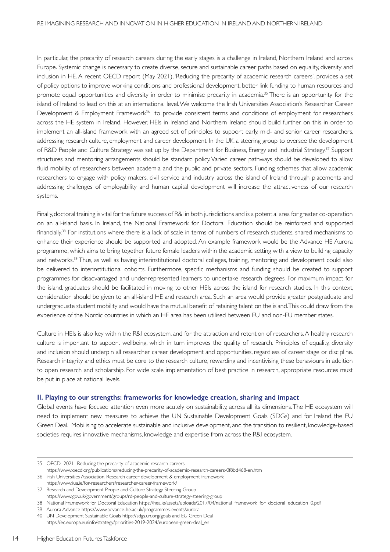In particular, the precarity of research careers during the early stages is a challenge in Ireland, Northern Ireland and across Europe. Systemic change is necessary to create diverse, secure and sustainable career paths based on equality, diversity and inclusion in HE. A recent OECD report (May 2021), 'Reducing the precarity of academic research careers', provides a set of policy options to improve working conditions and professional development, better link funding to human resources and promote equal opportunities and diversity in order to minimise precarity in academia.<sup>35</sup> There is an opportunity for the island of Ireland to lead on this at an international level. We welcome the Irish Universities Association's Researcher Career Development & Employment Framework<sup>36</sup> to provide consistent terms and conditions of employment for researchers across the HE system in Ireland. However, HEIs in Ireland and Northern Ireland should build further on this in order to implement an all-island framework with an agreed set of principles to support early, mid- and senior career researchers, addressing research culture, employment and career development. In the UK, a steering group to oversee the development of R&D People and Culture Strategy was set up by the Department for Business, Energy and Industrial Strategy.<sup>37</sup> Support structures and mentoring arrangements should be standard policy. Varied career pathways should be developed to allow fluid mobility of researchers between academia and the public and private sectors. Funding schemes that allow academic researchers to engage with policy makers, civil service and industry across the island of Ireland through placements and addressing challenges of employability and human capital development will increase the attractiveness of our research systems.

Finally, doctoral training is vital for the future success of R&I in both jurisdictions and is a potential area for greater co-operation on an all-island basis. In Ireland, the National Framework for Doctoral Education should be reinforced and supported financially.38 For institutions where there is a lack of scale in terms of numbers of research students, shared mechanisms to enhance their experience should be supported and adopted. An example framework would be the Advance HE Aurora programme, which aims to bring together future female leaders within the academic setting with a view to building capacity and networks.39 Thus, as well as having interinstitutional doctoral colleges, training, mentoring and development could also be delivered to interinstitutional cohorts. Furthermore, specific mechanisms and funding should be created to support programmes for disadvantaged and under-represented learners to undertake research degrees. For maximum impact for the island, graduates should be facilitated in moving to other HEIs across the island for research studies. In this context, consideration should be given to an all-island HE and research area. Such an area would provide greater postgraduate and undergraduate student mobility and would have the mutual benefit of retaining talent on the island.This could draw from the experience of the Nordic countries in which an HE area has been utilised between EU and non-EU member states.

Culture in HEIs is also key within the R&I ecosystem, and for the attraction and retention of researchers. A healthy research culture is important to support wellbeing, which in turn improves the quality of research. Principles of equality, diversity and inclusion should underpin all researcher career development and opportunities, regardless of career stage or discipline. Research integrity and ethics must be core to the research culture, rewarding and incentivising these behaviours in addition to open research and scholarship. For wide scale implementation of best practice in research, appropriate resources must be put in place at national levels.

#### **II. Playing to our strengths: frameworks for knowledge creation, sharing and impact**

Global events have focused attention even more acutely on sustainability, across all its dimensions. The HE ecosystem will need to implement new measures to achieve the UN Sustainable Development Goals (SDGs) and for Ireland the EU Green Deal. Mobilising to accelerate sustainable and inclusive development, and the transition to resilient, knowledge-based societies requires innovative mechanisms, knowledge and expertise from across the R&I ecosystem.

https://www.iua.ie/for-researchers/researcher-career-framework/ 37 Research and Development People and Culture Strategy Steering Group

<sup>35</sup> OECD 2021 Reducing the precarity of academic research careers https://www.oecd.org/publications/reducing-the-precarity-of-academic-research-careers-0f8bd468-en.htm

<sup>36</sup> Irish Universities Association. Research career development & employment framework

https://www.gov.uk/government/groups/rd-people-and-culture-strategy-steering-group

<sup>38</sup> National Framework for Doctoral Education https://hea.ie/assets/uploads/2017/04/national\_framework\_for\_doctoral\_education\_0.pdf

<sup>39</sup> Aurora Advance https://www.advance-he.ac.uk/programmes-events/aurora

<sup>40</sup> UN Development Sustainable Goals https://sdgs.un.org/goals and EU Green Deal https://ec.europa.eu/info/strategy/priorities-2019-2024/european-green-deal\_en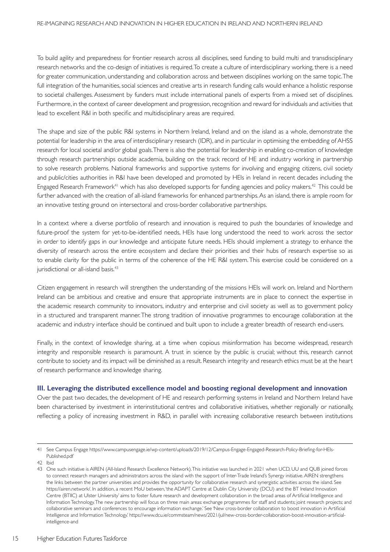To build agility and preparedness for frontier research across all disciplines, seed funding to build multi and transdisciplinary research networks and the co-design of initiatives is required. To create a culture of interdisciplinary working, there is a need for greater communication, understanding and collaboration across and between disciplines working on the same topic. The full integration of the humanities, social sciences and creative arts in research funding calls would enhance a holistic response to societal challenges. Assessment by funders must include international panels of experts from a mixed set of disciplines. Furthermore, in the context of career development and progression, recognition and reward for individuals and activities that lead to excellent R&I in both specific and multidisciplinary areas are required.

The shape and size of the public R&I systems in Northern Ireland, Ireland and on the island as a whole, demonstrate the potential for leadership in the area of interdisciplinary research (IDR), and in par ticular in optimising the embedding of AHSS research for local societal and/or global goals. There is also the potential for leadership in enabling co-creation of knowledge through research partnerships outside academia, building on the track record of HE and industry working in partnership to solve research problems. National frameworks and supportive systems for involving and engaging citizens, civil society and public/cities authorities in R&I have been developed and promoted by HEIs in Ireland in recent decades including the Engaged Research Framework<sup>41</sup> which has also developed supports for funding agencies and policy makers.<sup>42</sup> This could be further advanced with the creation of all-island frameworks for enhanced partnerships. As an island, there is ample room for an innovative testing ground on intersectoral and cross-border collaborative partnerships.

In a context where a diverse portfolio of research and innovation is required to push the boundaries of knowledge and future-proof the system for yet-to-be-identified needs, HEIs have long understood the need to work across the sector in order to identify gaps in our knowledge and anticipate future needs. HEIs should implement a strategy to enhance the diversity of research across the entire ecosystem and declare their priorities and their hubs of research expertise so as to enable clarity for the public in terms of the coherence of the HE R&I system. This exercise could be considered on a jurisdictional or all-island basis.<sup>43</sup>

Citizen engagement in research will strengthen the understanding of the missions HEIs will work on. Ireland and Northern Ireland can be ambitious and creative and ensure that appropriate instruments are in place to connect the expertise in the academic research community to innovators, industry and enterprise and civil society as well as to government policy in a structured and transparent manner. The strong tradition of innovative programmes to encourage collaboration at the academic and industry interface should be continued and built upon to include a greater breadth of research end-users.

Finally, in the context of knowledge sharing, at a time when copious misinformation has become widespread, research integrity and responsible research is paramount. A trust in science by the public is crucial; without this, research cannot contribute to society and its impact will be diminished as a result. Research integrity and research ethics must be at the heart of research performance and knowledge sharing.

#### **III. Leveraging the distributed excellence model and boosting regional development and innovation**

Over the past two decades, the development of HE and research performing systems in Ireland and Northern Ireland have been characterised by investment in interinstitutional centres and collaborative initiatives, whether regionally or nationally, reflecting a policy of increasing investment in R&D, in parallel with increasing collaborative research between institutions

<sup>41</sup> See Campus Engage https://www.campusengage.ie/wp-content/uploads/2019/12/Campus-Engage-Engaged-Research-Policy-Briefing-for-HEIs-Published.pdf

<sup>42</sup> Ibid

<sup>43</sup> One such initiative is AIREN (All-Island Research Excellence Network).This initiative was launched in 2021 when UCD, UU and QUB joined forces to connect research managers and administrators across the island with the support of Inter-Trade Ireland's Synergy initiative. AIREN strengthens the links between the partner universities and provides the opportunity for collaborative research and synergistic activities across the island. See https://airen.network/. In addition, a recent MoU between, 'the ADAPT Centre at Dublin City University (DCU) and the BT Ireland Innovation Centre (BTIIC) at Ulster University' aims to foster future research and development collaboration in the broad areas of Ar tificial Intelligence and Information Technology. The new partnership will focus on three main areas: exchange programmes for staff and students; joint research projects; and collaborative seminars and conferences to encourage information exchange.' See 'New cross-border collaboration to boost innovation in Ar tificial Intelligence and InformationTechnology.' https://www.dcu.ie/commsteam/news/2021/jul/new-cross-border-collaboration-boost-innovation-ar tificialintelligence-and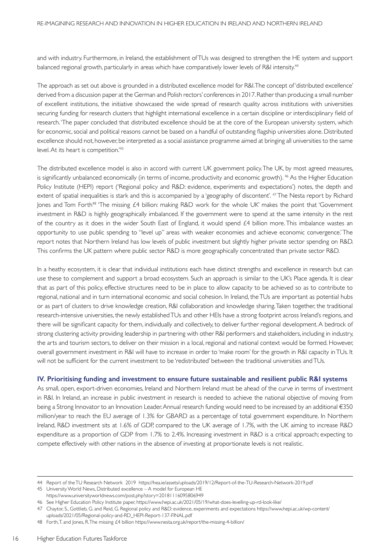and with industry. Furthermore, in Ireland, the establishment of TUs was designed to strengthen the HE system and support balanced regional growth, particularly in areas which have comparatively lower levels of R&I intensity.<sup>44</sup>

The approach as set out above is grounded in a distributed excellence model for R&I. The concept of 'distributed excellence' derived from a discussion paper at the German and Polish rectors' conferences in 2017. Rather than producing a small number of excellent institutions, the initiative showcased the wide spread of research quality across institutions with universities securing funding for research clusters that highlight international excellence in a certain discipline or interdisciplinary field of research. 'The paper concluded that distributed excellence should be at the core of the European university system, which for economic, social and political reasons cannot be based on a handful of outstanding flagship universities alone. Distributed excellence should not, however, be interpreted as a social assistance programme aimed at bringing all universities to the same level. At its heart is competition.'45

The distributed excellence model is also in accord with current UK government policy. The UK, by most agreed measures, is significantly unbalanced economically (in terms of income, productivity and economic growth). <sup>46</sup> As the Higher Education Policy Institute (HEPI) report ('Regional policy and R&D: evidence, experiments and expectations') notes, the depth and extent of spatial inequalities is stark and this is accompanied by a 'geography of discontent'. <sup>47</sup> The Nesta report by Richard Jones and Tom Forth<sup>48</sup> 'The missing £4 billion: making R&D work for the whole UK' makes the point that 'Government investment in R&D is highly geographically imbalanced. If the government were to spend at the same intensity in the rest of the country as it does in the wider South East of England, it would spend  $£4$  billion more. This imbalance wastes an opportunity to use public spending to "level up" areas with weaker economies and achieve economic convergence.' The report notes that Northern Ireland has low levels of public investment but slightly higher private sector spending on R&D. This confirms the UK pattern where public sector R&D is more geographically concentrated than private sector R&D.

In a heathy ecosystem, it is clear that individual institutions each have distinct strengths and excellence in research but can use these to complement and support a broad ecosystem. Such an approach is similar to the UK's Place agenda. It is clear that as part of this policy, effective structures need to be in place to allow capacity to be achieved so as to contribute to regional, national and in turn international economic and social cohesion. In Ireland, the TUs are important as potential hubs or as part of clusters to drive knowledge creation, R&I collaboration and knowledge sharing. Taken together, the traditional research-intensive universities, the newly established TUs and other HEIs have a strong footprint across Ireland's regions, and there will be significant capacity for them, individually and collectively, to deliver fur ther regional development.A bedrock of strong clustering activity providing leadership in partnering with other R&I performers and stakeholders, including in industry, the arts and tourism sectors, to deliver on their mission in a local, regional and national context would be formed. However, overall government investment in R&I will have to increase in order to 'make room' for the growth in R&I capacity in TUs. It will not be sufficient for the current investment to be 'redistributed' between the traditional universities andTUs.

#### **IV. Prioritising funding and investment to ensure future sustainable and resilient public R&I systems**

As small, open, export-driven economies, Ireland and Northern Ireland must be ahead of the curve in terms of investment in R&I. In Ireland, an increase in public investment in research is needed to achieve the national objective of moving from being a Strong Innovator to an Innovation Leader. Annual research funding would need to be increased by an additional €350 million/year to reach the EU average of 1.3% for GBARD as a percentage of total government expenditure. In Northern Ireland, R&D investment sits at 1.6% of GDP, compared to the UK average of 1.7%, with the UK aiming to increase R&D expenditure as a proportion of GDP from 1.7% to 2.4%. Increasing investment in R&D is a critical approach; expecting to compete effectively with other nations in the absence of investing at proportionate levels is not realistic.

https://www.universityworldnews.com/post.php?story=20181116095806949

<sup>44</sup> Report of the TU Research Network 2019 https://hea.ie/assets/uploads/2019/12/Report-of-the-TU-Research-Network-2019.pdf

<sup>45</sup> University World News, Distributed excellence – A model for European HE

<sup>46</sup> See Higher Education Policy Institute paper, https://www.hepi.ac.uk/2021/05/19/what-does-levelling-up-rd-look-like/

<sup>47</sup> Chaytor, S., Gottlieb, G. and Reid, G. Regional policy and R&D: evidence, experiments and expectations https://www.hepi.ac.uk/wp-content/ uploads/2021/05/Regional-policy-and-RD\_HEPI-Report-137-FINAL.pdf

<sup>48</sup> Forth, T. and Jones, R. The missing £4 billion https://www.nesta.org.uk/report/the-missing-4-billion/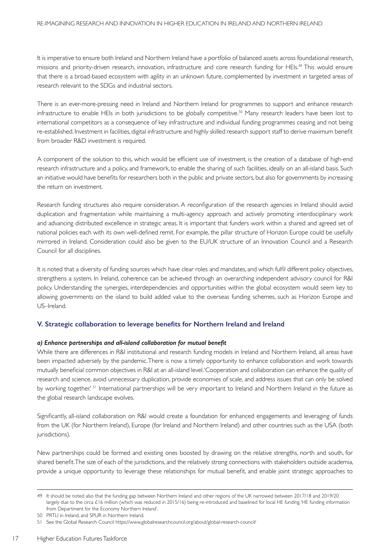It is imperative to ensure both Ireland and Northern Ireland have a portfolio of balanced assets across foundational research, missions and priority-driven research, innovation, infrastructure and core research funding for HEIs.49 This would ensure that there is a broad-based ecosystem with agility in an unknown future, complemented by investment in targeted areas of research relevant to the SDGs and industrial sectors.

There is an ever-more-pressing need in Ireland and Northern Ireland for programmes to support and enhance research infrastructure to enable HEIs in both jurisdictions to be globally competitive.50 Many research leaders have been lost to international competitors as a consequence of key infrastructure and individual funding programmes ceasing and not being re-established. Investment in facilities, digital infrastructure and highly skilled research support staff to derive maximum benefit from broader R&D investment is required.

A component of the solution to this, which would be efficient use of investment, is the creation of a database of high-end research infrastructure and a policy, and framework, to enable the sharing of such facilities, ideally on an all-island basis. Such an initiative would have benefits for researchers both in the public and private sectors, but also for governments by increasing the return on investment.

Research funding structures also require consideration. A reconfiguration of the research agencies in Ireland should avoid duplication and fragmentation while maintaining a multi-agency approach and actively promoting interdisciplinary work and advancing distributed excellence in strategic areas. It is important that funders work within a shared and agreed set of national policies each with its own well-defined remit. For example, the pillar structure of Horizon Europe could be usefully mirrored in Ireland. Consideration could also be given to the EU/UK structure of an Innovation Council and a Research Council for all disciplines.

It is noted that a diversity of funding sources which have clear roles and mandates, and which fulfil different policy objectives, strengthens a system. In Ireland, coherence can be achieved through an overarching independent advisory council for R&I policy. Understanding the synergies, interdependencies and opportunities within the global ecosystem would seem key to allowing governments on the island to build added value to the overseas funding schemes, such as Horizon Europe and US–Ireland.

### **V. Strategic collaboration to leverage benefits for Northern Ireland and Ireland**

### *a) Enhance partnerships and all-island collaboration for mutual benefit*

While there are differences in R&I institutional and research funding models in Ireland and Northern Ireland, all areas have been impacted adversely by the pandemic. There is now a timely opportunity to enhance collaboration and work towards mutually beneficial common objectives in R&I at an all-island level.'Cooperation and collaboration can enhance the quality of research and science, avoid unnecessary duplication, provide economies of scale, and address issues that can only be solved by working together.' <sup>51</sup> International partnerships will be very important to Ireland and Northern Ireland in the future as the global research landscape evolves.

Significantly, all-island collaboration on R&I would create a foundation for enhanced engagements and leveraging of funds from the UK (for Northern Ireland), Europe (for Ireland and Northern Ireland) and other countries such as the USA (both jurisdictions).

New partnerships could be formed and existing ones boosted by drawing on the relative strengths, north and south, for shared benefit.The size of each of the jurisdictions, and the relatively strong connections with stakeholders outside academia, provide a unique opportunity to leverage these relationships for mutual benefit, and enable joint strategic approaches to

<sup>49</sup> It should be noted also that the funding gap between Northern Ireland and other regions of the UK narrowed between 2017/18 and 2019/20 largely due to the circa £16 million (which was reduced in 2015/16) being re-introduced and baselined for local HE funding. 'HE funding information from Department for the Economy Northern Ireland'.

<sup>50</sup> PRTLI in Ireland, and SPUR in Northern Ireland.

<sup>51</sup> See the Global Research Council https://www.globalresearchcouncil.org/about/global-research-council/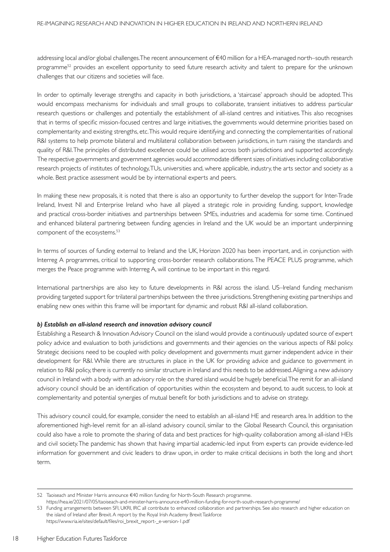addressing local and/or global challenges. The recent announcement of €40 million for a HEA-managed north–south research programme52 provides an excellent opportunity to seed future research activity and talent to prepare for the unknown challenges that our citizens and societies will face.

In order to optimally leverage strengths and capacity in both jurisdictions, a 'staircase' approach should be adopted. This would encompass mechanisms for individuals and small groups to collaborate, transient initiatives to address particular research questions or challenges and potentially the establishment of all-island centres and initiatives. This also recognises that in terms of specific mission-focused centres and large initiatives, the governments would determine priorities based on complementarity and existing strengths, etc. This would require identifying and connecting the complementarities of national R&I systems to help promote bilateral and multilateral collaboration between jurisdictions, in turn raising the standards and quality of R&I. The principles of distributed excellence could be utilised across both jurisdictions and supported accordingly. The respective governments and government agencies would accommodate different sizes of initiatives including collaborative research projects of institutes of technology, TUs, universities and, where applicable, industry, the arts sector and society as a whole. Best practice assessment would be by international experts and peers.

In making these new proposals, it is noted that there is also an opportunity to further develop the support for Inter-Trade Ireland, Invest NI and Enterprise Ireland who have all played a strategic role in providing funding, support, knowledge and practical cross-border initiatives and partnerships between SMEs, industries and academia for some time. Continued and enhanced bilateral partnering between funding agencies in Ireland and the UK would be an important underpinning component of the ecosystems.<sup>53</sup>

In terms of sources of funding external to Ireland and the UK, Horizon 2020 has been important, and, in conjunction with Interreg A programmes, critical to supporting cross-border research collaborations. The PEACE PLUS programme, which merges the Peace programme with Interreg A, will continue to be important in this regard.

International partnerships are also key to future developments in R&I across the island. US–Ireland funding mechanism providing targeted support for trilateral partnerships between the three jurisdictions. Strengthening existing partnerships and enabling new ones within this frame will be important for dynamic and robust R&I all-island collaboration.

#### *b) Establish an all-island research and innovation advisory council*

Establishing a Research & Innovation Advisory Council on the island would provide a continuously updated source of expert policy advice and evaluation to both jurisdictions and governments and their agencies on the various aspects of R&I policy. Strategic decisions need to be coupled with policy development and governments must garner independent advice in their development for R&I. While there are structures in place in the UK for providing advice and guidance to government in relation to R&I policy, there is currently no similar structure in Ireland and this needs to be addressed. Aligning a new advisory council in Ireland with a body with an advisory role on the shared island would be hugely beneficial.The remit for an all-island advisory council should be an identification of opportunities within the ecosystem and beyond, to audit success, to look at complementarity and potential synergies of mutual benefit for both jurisdictions and to advise on strategy.

This advisory council could, for example, consider the need to establish an all-island HE and research area. In addition to the aforementioned high-level remit for an all-island advisory council, similar to the Global Research Council, this organisation could also have a role to promote the sharing of data and best practices for high-quality collaboration among all-island HEIs and civil society. The pandemic has shown that having impartial academic-led input from experts can provide evidence-led information for government and civic leaders to draw upon, in order to make critical decisions in both the long and short term.

<sup>52</sup> Taoiseach and Minister Harris announce €40 million funding for North-South Research programme.

https://hea.ie/2021/07/05/taoiseach-and-minister-harris-announce-e40-million-funding-for-north-south-research-programme/

<sup>53</sup> Funding arrangements between SFI, UKRI, IRC all contribute to enhanced collaboration and partnerships. See also research and higher education on the island of Ireland after Brexit. A report by the Royal Irish Academy Brexit Taskforce https://www.ria.ie/sites/default/files/roi\_brexit\_report-\_e-version-1.pdf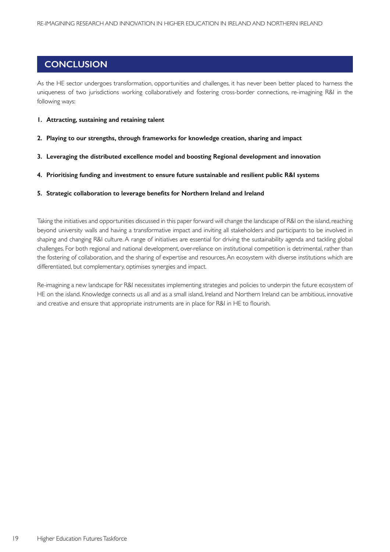## **CONCLUSION**

As the HE sector undergoes transformation, opportunities and challenges, it has never been better placed to harness the uniqueness of two jurisdictions working collaboratively and fostering cross-border connections, re-imagining R&I in the following ways:

#### **1. Attracting, sustaining and retaining talent**

- **2. Playing to our strengths, through frameworks for knowledge creation, sharing and impact**
- **3. Leveraging the distributed excellence model and boosting Regional development and innovation**
- **4. Prioritising funding and investment to ensure future sustainable and resilient public R&I systems**
- **5. Strategic collaboration to leverage benefits for Northern Ireland and Ireland**

Taking the initiatives and opportunities discussed in this paper forward will change the landscape of R&I on the island, reaching beyond university walls and having a transformative impact and inviting all stakeholders and participants to be involved in shaping and changing R&I culture. A range of initiatives are essential for driving the sustainability agenda and tackling global challenges. For both regional and national development, over-reliance on institutional competition is detrimental, rather than the fostering of collaboration, and the sharing of expertise and resources. An ecosystem with diverse institutions which are differentiated, but complementary, optimises synergies and impact.

Re-imagining a new landscape for R&I necessitates implementing strategies and policies to underpin the future ecosystem of HE on the island. Knowledge connects us all and as a small island, Ireland and Northern Ireland can be ambitious, innovative and creative and ensure that appropriate instruments are in place for R&I in HE to flourish.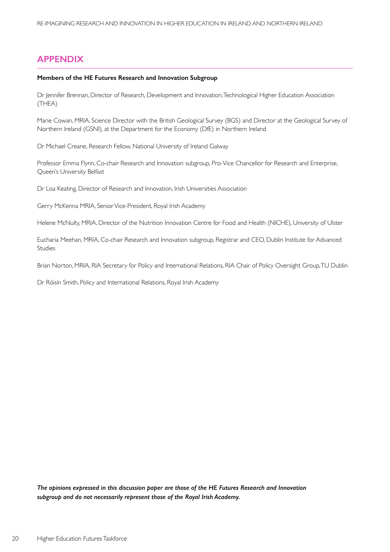## **APPENDIX**

#### **Members of the HE Futures Research and Innovation Subgroup**

Dr Jennifer Brennan, Director of Research, Development and Innovation, Technological Higher Education Association (THEA)

Marie Cowan, MRIA, Science Director with the British Geological Survey (BGS) and Director at the Geological Survey of Northern Ireland (GSNI), at the Department for the Economy (DfE) in Northern Ireland

Dr Michael Creane, Research Fellow, National University of Ireland Galway

Professor Emma Flynn, Co-chair Research and Innovation subgroup, Pro-Vice Chancellor for Research and Enterprise, Queen's University Belfast

Dr Lisa Keating, Director of Research and Innovation, Irish Universities Association

Gerry McKenna MRIA, Senior Vice-President, Royal Irish Academy

Helene McNulty, MRIA, Director of the Nutrition Innovation Centre for Food and Health (NICHE), University of Ulster

Eucharia Meehan, MRIA, Co-chair Research and Innovation subgroup, Registrar and CEO, Dublin Institute for Advanced Studies

Brian Norton, MRIA, RIA Secretary for Policy and International Relations, RIA Chair of Policy Oversight Group, TU Dublin

Dr Róisín Smith, Policy and International Relations, Royal Irish Academy

*The opinions expressed in this discussion paper are those of the HE Futures Research and Innovation subgroup and do not necessarily represent those of the Royal Irish Academy.*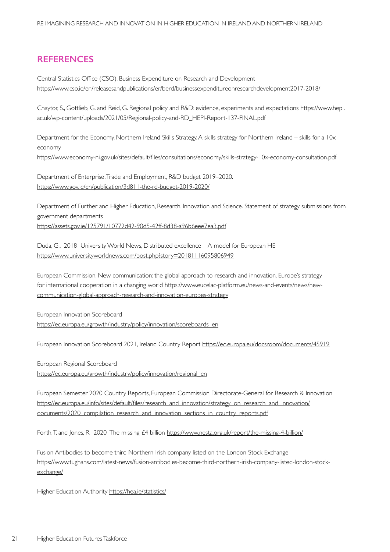## **REFERENCES**

Central Statistics Office (CSO), Business Expenditure on Research and Development https://www.cso.ie/en/releasesandpublications/er/berd/businessexpenditureonresearchdevelopment2017-2018/

Chaytor, S., Gottlieb, G. and Reid, G. Regional policy and R&D: evidence, experiments and expectations https://www.hepi. ac.uk/wp-content/uploads/2021/05/Regional-policy-and-RD\_HEPI-Report-137-FINAL.pdf

Department for the Economy, Northern Ireland Skills Strategy. A skills strategy for Northern Ireland – skills for a 10x economy https://www.economy-ni.gov.uk/sites/default/files/consultations/economy/skills-strategy-10x-economy-consultation.pdf

Department of Enterprise, Trade and Employment, R&D budget 2019–2020. https://www.gov.ie/en/publication/3d811-the-rd-budget-2019-2020/

Department of Further and Higher Education, Research, Innovation and Science. Statement of strategy submissions from government departments

https://assets.gov.ie/125791/10772d42-90d5-42ff-8d38-a96b6eee7ea3.pdf

Duda, G., 2018 University World News, Distributed excellence – A model for European HE https://www.universityworldnews.com/post.php?story=20181116095806949

European Commission, New communication: the global approach to research and innovation. Europe's strategy for international cooperation in a changing world https://www.eucelac-platform.eu/news-and-events/news/newcommunication-global-approach-research-and-innovation-europes-strategy

European Innovation Scoreboard https://ec.europa.eu/growth/industry/policy/innovation/scoreboards\_en

European Innovation Scoreboard 2021, Ireland Country Report https://ec.europa.eu/docsroom/documents/45919

European Regional Scoreboard https://ec.europa.eu/growth/industry/policy/innovation/regional\_en

European Semester 2020 Country Reports, European Commission Directorate-General for Research & Innovation https://ec.europa.eu/info/sites/default/files/research\_and\_innovation/strategy\_on\_research\_and\_innovation/ documents/2020\_compilation\_research\_and\_innovation\_sections\_in\_country\_reports.pdf

Forth, T. and Jones, R. 2020 The missing £4 billion https://www.nesta.org.uk/report/the-missing-4-billion/

Fusion Antibodies to become third Northern Irish company listed on the London Stock Exchange https://www.tughans.com/latest-news/fusion-antibodies-become-third-northern-irish-company-listed-london-stockexchange/

Higher Education Authority https://hea.ie/statistics/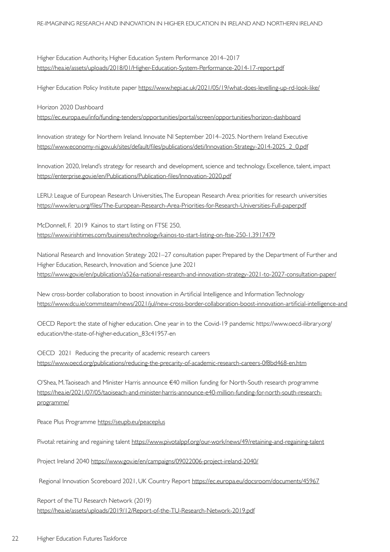Higher Education Authority, Higher Education System Performance 2014–2017 https://hea.ie/assets/uploads/2018/01/Higher-Education-System-Performance-2014-17-report.pdf

Higher Education Policy Institute paper https://www.hepi.ac.uk/2021/05/19/what-does-levelling-up-rd-look-like/

Horizon 2020 Dashboard

https://ec.europa.eu/info/funding-tenders/opportunities/portal/screen/opportunities/horizon-dashboard

Innovation strategy for Northern Ireland. Innovate NI September 2014–2025. Northern Ireland Executive https://www.economy-ni.gov.uk/sites/default/files/publications/deti/Innovation-Strategy-2014-2025\_2\_0.pdf

Innovation 2020, Ireland's strategy for research and development, science and technology. Excellence, talent, impact https://enterprise.gov.ie/en/Publications/Publication-files/Innovation-2020.pdf

LERU: League of European Research Universities, The European Research Area: priorities for research universities https://www.leru.org/files/The-European-Research-Area-Priorities-for-Research-Universities-Full-paper.pdf

McDonnell, F. 2019 Kainos to start listing on FTSE 250, https://www.irishtimes.com/business/technology/kainos-to-start-listing-on-ftse-250-1.3917479

National Research and Innovation Strategy 2021–27 consultation paper. Prepared by the Department of Further and Higher Education, Research, Innovation and Science June 2021 https://www.gov.ie/en/publication/a526a-national-research-and-innovation-strategy-2021-to-2027-consultation-paper/

New cross-border collaboration to boost innovation in Artificial Intelligence and Information Technology https://www.dcu.ie/commsteam/news/2021/jul/new-cross-border-collaboration-boost-innovation-ar tificial-intelligence-and

OECD Report: the state of higher education. One year in to the Covid-19 pandemic https://www.oecd-ilibrary.org/ education/the-state-of-higher-education\_83c41957-en

OECD 2021 Reducing the precarity of academic research careers https://www.oecd.org/publications/reducing-the-precarity-of-academic-research-careers-0f8bd468-en.htm

O'Shea, M. Taoiseach and Minister Harris announce €40 million funding for North-South research programme https://hea.ie/2021/07/05/taoiseach-and-minister-harris-announce-e40-million-funding-for-north-south-researchprogramme/

Peace Plus Programme https://seupb.eu/peaceplus

Pivotal: retaining and regaining talent https://www.pivotalppf.org/our-work/news/49/retaining-and-regaining-talent

Project Ireland 2040 https://www.gov.ie/en/campaigns/09022006-project-ireland-2040/

Regional Innovation Scoreboard 2021, UK Country Report https://ec.europa.eu/docsroom/documents/45967

Report of the TU Research Network (2019) https://hea.ie/assets/uploads/2019/12/Report-of-the-TU-Research-Network-2019.pdf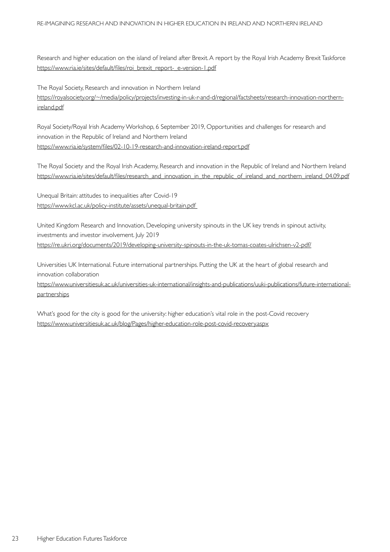Research and higher education on the island of Ireland after Brexit. A report by the Royal Irish Academy Brexit Taskforce https://www.ria.ie/sites/default/files/roi\_brexit\_report-\_e-version-1.pdf

The Royal Society, Research and innovation in Northern Ireland https://royalsociety.org/~/media/policy/projects/investing-in-uk-r-and-d/regional/factsheets/research-innovation-northernireland.pdf

Royal Society/Royal Irish Academy Workshop, 6 September 2019, Opportunities and challenges for research and innovation in the Republic of Ireland and Northern Ireland https://www.ria.ie/system/files/02-10-19-research-and-innovation-ireland-report.pdf

The Royal Society and the Royal Irish Academy, Research and innovation in the Republic of Ireland and Northern Ireland https://www.ria.ie/sites/default/files/research\_and\_innovation\_in\_the\_republic\_of\_ireland\_and\_nor thern\_ireland\_04.09.pdf

Unequal Britain: attitudes to inequalities after Covid-19 https://www.kcl.ac.uk/policy-institute/assets/unequal-britain.pdf

United Kingdom Research and Innovation, Developing university spinouts in the UK key trends in spinout activity, investments and investor involvement. July 2019 https://re.ukri.org/documents/2019/developing-university-spinouts-in-the-uk-tomas-coates-ulrichsen-v2-pdf/

Universities UK International. Future international partnerships. Putting the UK at the heart of global research and innovation collaboration

https://www.universitiesuk.ac.uk/universities-uk-international/insights-and-publications/uuki-publications/future-internationalpartnerships

What's good for the city is good for the university: higher education's vital role in the post-Covid recovery https://www.universitiesuk.ac.uk/blog/Pages/higher-education-role-post-covid-recovery.aspx